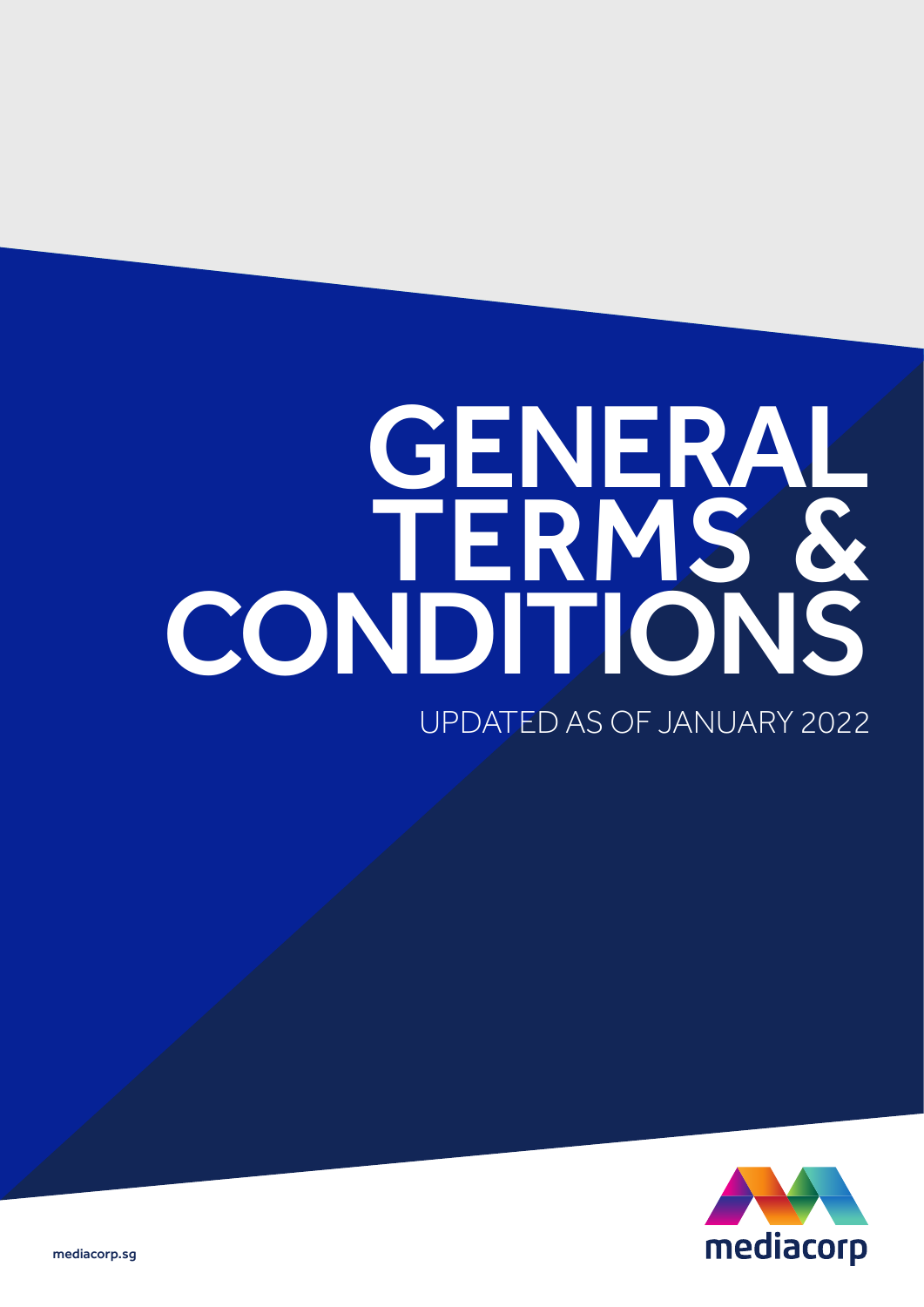# UPDATED AS OF JANUARY 2022 GENERAL TERMS & CONDITIONS



mediacorp.sg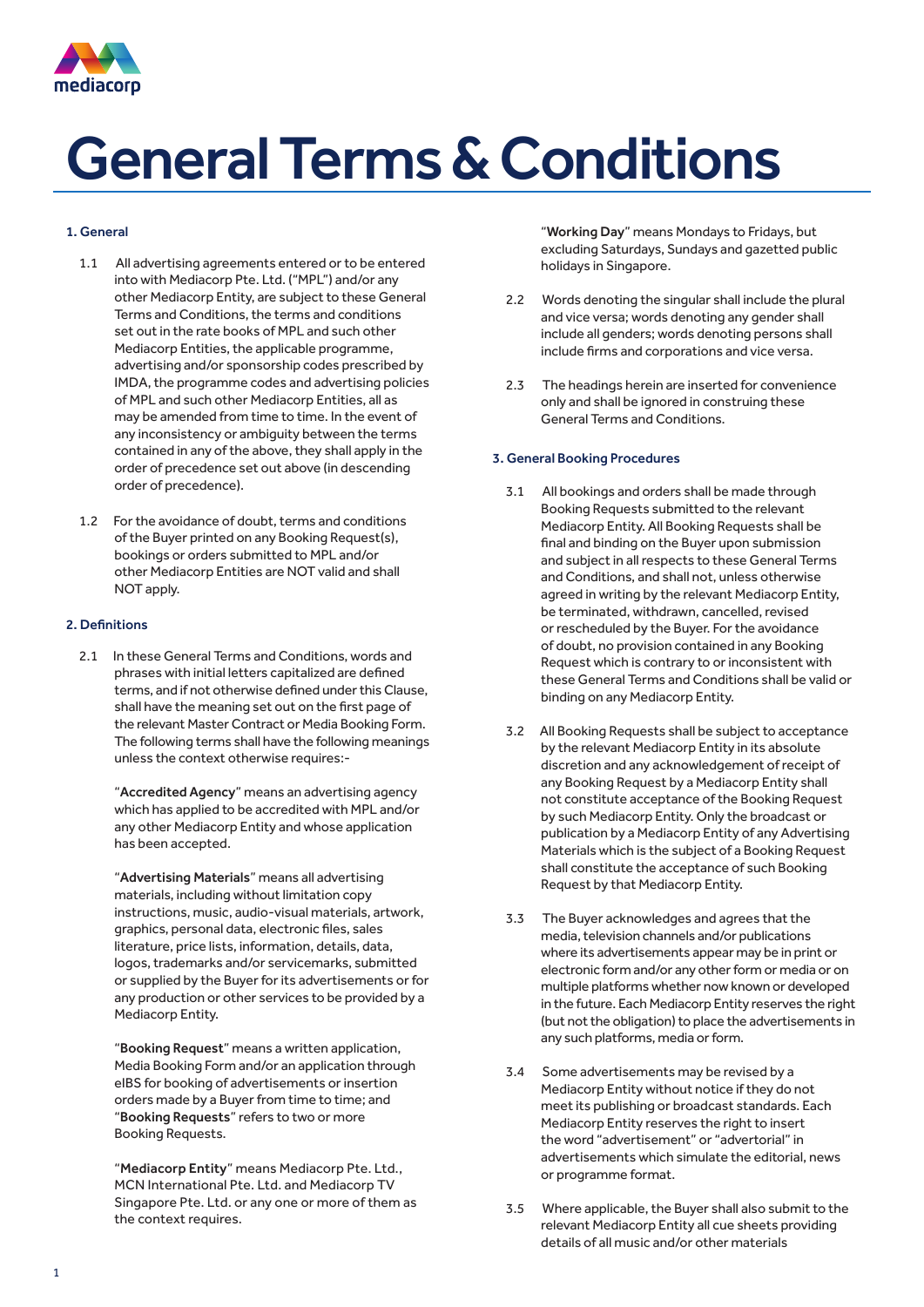

### 1. General

- 1.1 All advertising agreements entered or to be entered into with Mediacorp Pte. Ltd. ("MPL") and/or any other Mediacorp Entity, are subject to these General Terms and Conditions, the terms and conditions set out in the rate books of MPL and such other Mediacorp Entities, the applicable programme, advertising and/or sponsorship codes prescribed by IMDA, the programme codes and advertising policies of MPL and such other Mediacorp Entities, all as may be amended from time to time. In the event of any inconsistency or ambiguity between the terms contained in any of the above, they shall apply in the order of precedence set out above (in descending order of precedence).
- 1.2 For the avoidance of doubt, terms and conditions of the Buyer printed on any Booking Request(s), bookings or orders submitted to MPL and/or other Mediacorp Entities are NOT valid and shall NOT apply.

### 2. Definitions

2.1 In these General Terms and Conditions, words and phrases with initial letters capitalized are defined terms, and if not otherwise defined under this Clause, shall have the meaning set out on the first page of the relevant Master Contract or Media Booking Form. The following terms shall have the following meanings unless the context otherwise requires:-

"Accredited Agency" means an advertising agency which has applied to be accredited with MPL and/or any other Mediacorp Entity and whose application has been accepted.

"Advertising Materials" means all advertising materials, including without limitation copy instructions, music, audio-visual materials, artwork, graphics, personal data, electronic files, sales literature, price lists, information, details, data, logos, trademarks and/or servicemarks, submitted or supplied by the Buyer for its advertisements or for any production or other services to be provided by a Mediacorp Entity.

"Booking Request" means a written application, Media Booking Form and/or an application through eIBS for booking of advertisements or insertion orders made by a Buyer from time to time; and "Booking Requests" refers to two or more Booking Requests.

"Mediacorp Entity" means Mediacorp Pte. Ltd., MCN International Pte. Ltd. and Mediacorp TV Singapore Pte. Ltd. or any one or more of them as the context requires.

"Working Day" means Mondays to Fridays, but excluding Saturdays, Sundays and gazetted public holidays in Singapore.

- 2.2 Words denoting the singular shall include the plural and vice versa; words denoting any gender shall include all genders; words denoting persons shall include firms and corporations and vice versa.
- 2.3 The headings herein are inserted for convenience only and shall be ignored in construing these General Terms and Conditions.

#### 3. General Booking Procedures

- 3.1 All bookings and orders shall be made through Booking Requests submitted to the relevant Mediacorp Entity. All Booking Requests shall be final and binding on the Buyer upon submission and subject in all respects to these General Terms and Conditions, and shall not, unless otherwise agreed in writing by the relevant Mediacorp Entity, be terminated, withdrawn, cancelled, revised or rescheduled by the Buyer. For the avoidance of doubt, no provision contained in any Booking Request which is contrary to or inconsistent with these General Terms and Conditions shall be valid or binding on any Mediacorp Entity.
- 3.2 All Booking Requests shall be subject to acceptance by the relevant Mediacorp Entity in its absolute discretion and any acknowledgement of receipt of any Booking Request by a Mediacorp Entity shall not constitute acceptance of the Booking Request by such Mediacorp Entity. Only the broadcast or publication by a Mediacorp Entity of any Advertising Materials which is the subject of a Booking Request shall constitute the acceptance of such Booking Request by that Mediacorp Entity.
- 3.3 The Buyer acknowledges and agrees that the media, television channels and/or publications where its advertisements appear may be in print or electronic form and/or any other form or media or on multiple platforms whether now known or developed in the future. Each Mediacorp Entity reserves the right (but not the obligation) to place the advertisements in any such platforms, media or form.
- 3.4 Some advertisements may be revised by a Mediacorp Entity without notice if they do not meet its publishing or broadcast standards. Each Mediacorp Entity reserves the right to insert the word "advertisement" or "advertorial" in advertisements which simulate the editorial, news or programme format.
- 3.5 Where applicable, the Buyer shall also submit to the relevant Mediacorp Entity all cue sheets providing details of all music and/or other materials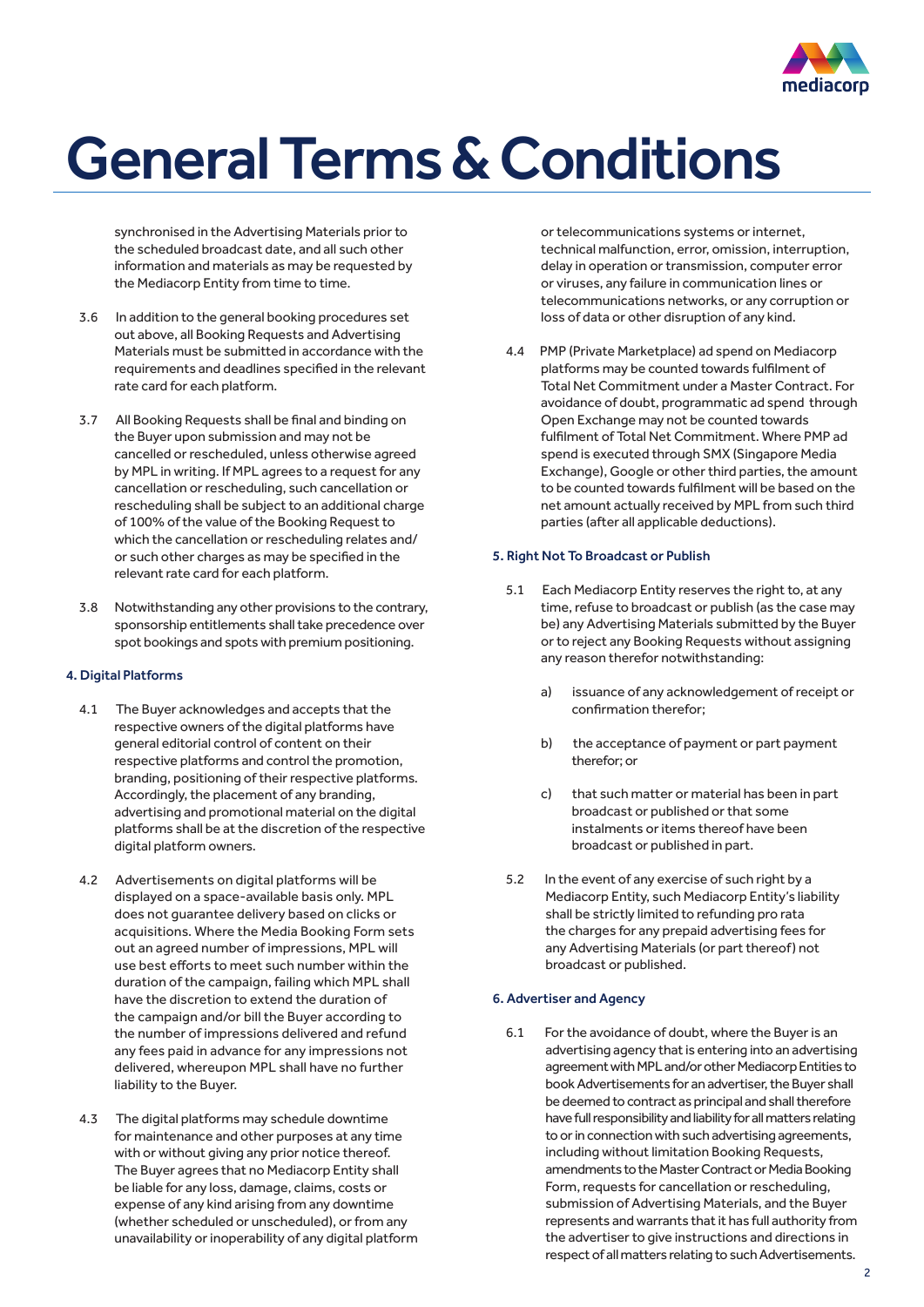

synchronised in the Advertising Materials prior to the scheduled broadcast date, and all such other information and materials as may be requested by the Mediacorp Entity from time to time.

- 3.6 In addition to the general booking procedures set out above, all Booking Requests and Advertising Materials must be submitted in accordance with the requirements and deadlines specified in the relevant rate card for each platform.
- 3.7 All Booking Requests shall be final and binding on the Buyer upon submission and may not be cancelled or rescheduled, unless otherwise agreed by MPL in writing. If MPL agrees to a request for any cancellation or rescheduling, such cancellation or rescheduling shall be subject to an additional charge of 100% of the value of the Booking Request to which the cancellation or rescheduling relates and/ or such other charges as may be specified in the relevant rate card for each platform.
- 3.8 Notwithstanding any other provisions to the contrary, sponsorship entitlements shall take precedence over spot bookings and spots with premium positioning.

### 4. Digital Platforms

- 4.1 The Buyer acknowledges and accepts that the respective owners of the digital platforms have general editorial control of content on their respective platforms and control the promotion, branding, positioning of their respective platforms. Accordingly, the placement of any branding, advertising and promotional material on the digital platforms shall be at the discretion of the respective digital platform owners.
- 4.2 Advertisements on digital platforms will be displayed on a space-available basis only. MPL does not guarantee delivery based on clicks or acquisitions. Where the Media Booking Form sets out an agreed number of impressions, MPL will use best efforts to meet such number within the duration of the campaign, failing which MPL shall have the discretion to extend the duration of the campaign and/or bill the Buyer according to the number of impressions delivered and refund any fees paid in advance for any impressions not delivered, whereupon MPL shall have no further liability to the Buyer.
- 4.3 The digital platforms may schedule downtime for maintenance and other purposes at any time with or without giving any prior notice thereof. The Buyer agrees that no Mediacorp Entity shall be liable for any loss, damage, claims, costs or expense of any kind arising from any downtime (whether scheduled or unscheduled), or from any unavailability or inoperability of any digital platform

or telecommunications systems or internet, technical malfunction, error, omission, interruption, delay in operation or transmission, computer error or viruses, any failure in communication lines or telecommunications networks, or any corruption or loss of data or other disruption of any kind.

4.4 PMP (Private Marketplace) ad spend on Mediacorp platforms may be counted towards fulfilment of Total Net Commitment under a Master Contract. For avoidance of doubt, programmatic ad spend through Open Exchange may not be counted towards fulfilment of Total Net Commitment. Where PMP ad spend is executed through SMX (Singapore Media Exchange), Google or other third parties, the amount to be counted towards fulfilment will be based on the net amount actually received by MPL from such third parties (after all applicable deductions).

### 5. Right Not To Broadcast or Publish

- 5.1 Each Mediacorp Entity reserves the right to, at any time, refuse to broadcast or publish (as the case may be) any Advertising Materials submitted by the Buyer or to reject any Booking Requests without assigning any reason therefor notwithstanding:
	- a) issuance of any acknowledgement of receipt or confirmation therefor;
	- b) the acceptance of payment or part payment therefor; or
	- c) that such matter or material has been in part broadcast or published or that some instalments or items thereof have been broadcast or published in part.
- 5.2 In the event of any exercise of such right by a Mediacorp Entity, such Mediacorp Entity's liability shall be strictly limited to refunding pro rata the charges for any prepaid advertising fees for any Advertising Materials (or part thereof) not broadcast or published.

### 6. Advertiser and Agency

6.1 For the avoidance of doubt, where the Buyer is an advertising agency that is entering into an advertising agreement with MPL and/or other Mediacorp Entities to book Advertisements for an advertiser, the Buyer shall be deemed to contract as principal and shall therefore have full responsibility and liability for all matters relating to or in connection with such advertising agreements, including without limitation Booking Requests, amendments to the Master Contract or Media Booking Form, requests for cancellation or rescheduling, submission of Advertising Materials, and the Buyer represents and warrants that it has full authority from the advertiser to give instructions and directions in respect of all matters relating to such Advertisements.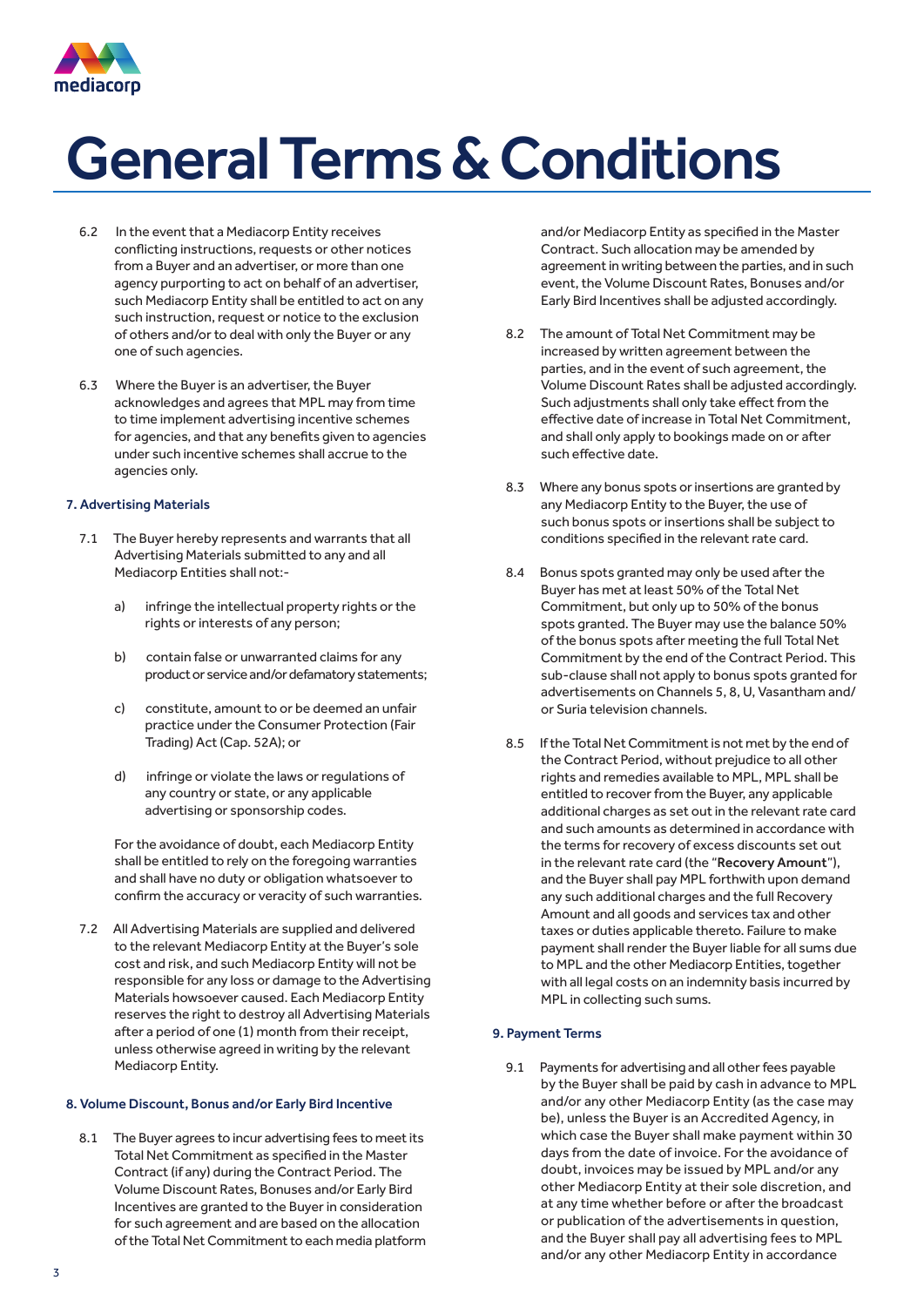

- 6.2 In the event that a Mediacorp Entity receives conflicting instructions, requests or other notices from a Buyer and an advertiser, or more than one agency purporting to act on behalf of an advertiser, such Mediacorp Entity shall be entitled to act on any such instruction, request or notice to the exclusion of others and/or to deal with only the Buyer or any one of such agencies.
- 6.3 Where the Buyer is an advertiser, the Buyer acknowledges and agrees that MPL may from time to time implement advertising incentive schemes for agencies, and that any benefits given to agencies under such incentive schemes shall accrue to the agencies only.

### 7. Advertising Materials

- 7.1 The Buyer hereby represents and warrants that all Advertising Materials submitted to any and all Mediacorp Entities shall not:
	- a) infringe the intellectual property rights or the rights or interests of any person;
	- b) contain false or unwarranted claims for any product or service and/or defamatory statements;
	- c) constitute, amount to or be deemed an unfair practice under the Consumer Protection (Fair Trading) Act (Cap. 52A); or
	- d) infringe or violate the laws or regulations of any country or state, or any applicable advertising or sponsorship codes.

For the avoidance of doubt, each Mediacorp Entity shall be entitled to rely on the foregoing warranties and shall have no duty or obligation whatsoever to confirm the accuracy or veracity of such warranties.

7.2 All Advertising Materials are supplied and delivered to the relevant Mediacorp Entity at the Buyer's sole cost and risk, and such Mediacorp Entity will not be responsible for any loss or damage to the Advertising Materials howsoever caused. Each Mediacorp Entity reserves the right to destroy all Advertising Materials after a period of one (1) month from their receipt, unless otherwise agreed in writing by the relevant Mediacorp Entity.

#### 8. Volume Discount, Bonus and/or Early Bird Incentive

8.1 The Buyer agrees to incur advertising fees to meet its Total Net Commitment as specified in the Master Contract (if any) during the Contract Period. The Volume Discount Rates, Bonuses and/or Early Bird Incentives are granted to the Buyer in consideration for such agreement and are based on the allocation of the Total Net Commitment to each media platform and/or Mediacorp Entity as specified in the Master Contract. Such allocation may be amended by agreement in writing between the parties, and in such event, the Volume Discount Rates, Bonuses and/or Early Bird Incentives shall be adjusted accordingly.

- 8.2 The amount of Total Net Commitment may be increased by written agreement between the parties, and in the event of such agreement, the Volume Discount Rates shall be adjusted accordingly. Such adjustments shall only take effect from the effective date of increase in Total Net Commitment, and shall only apply to bookings made on or after such effective date.
- 8.3 Where any bonus spots or insertions are granted by any Mediacorp Entity to the Buyer, the use of such bonus spots or insertions shall be subject to conditions specified in the relevant rate card.
- 8.4 Bonus spots granted may only be used after the Buyer has met at least 50% of the Total Net Commitment, but only up to 50% of the bonus spots granted. The Buyer may use the balance 50% of the bonus spots after meeting the full Total Net Commitment by the end of the Contract Period. This sub-clause shall not apply to bonus spots granted for advertisements on Channels 5, 8, U, Vasantham and/ or Suria television channels.
- 8.5 If the Total Net Commitment is not met by the end of the Contract Period, without prejudice to all other rights and remedies available to MPL, MPL shall be entitled to recover from the Buyer, any applicable additional charges as set out in the relevant rate card and such amounts as determined in accordance with the terms for recovery of excess discounts set out in the relevant rate card (the "Recovery Amount"), and the Buyer shall pay MPL forthwith upon demand any such additional charges and the full Recovery Amount and all goods and services tax and other taxes or duties applicable thereto. Failure to make payment shall render the Buyer liable for all sums due to MPL and the other Mediacorp Entities, together with all legal costs on an indemnity basis incurred by MPL in collecting such sums.

### 9. Payment Terms

9.1 Payments for advertising and all other fees payable by the Buyer shall be paid by cash in advance to MPL and/or any other Mediacorp Entity (as the case may be), unless the Buyer is an Accredited Agency, in which case the Buyer shall make payment within 30 days from the date of invoice. For the avoidance of doubt, invoices may be issued by MPL and/or any other Mediacorp Entity at their sole discretion, and at any time whether before or after the broadcast or publication of the advertisements in question, and the Buyer shall pay all advertising fees to MPL and/or any other Mediacorp Entity in accordance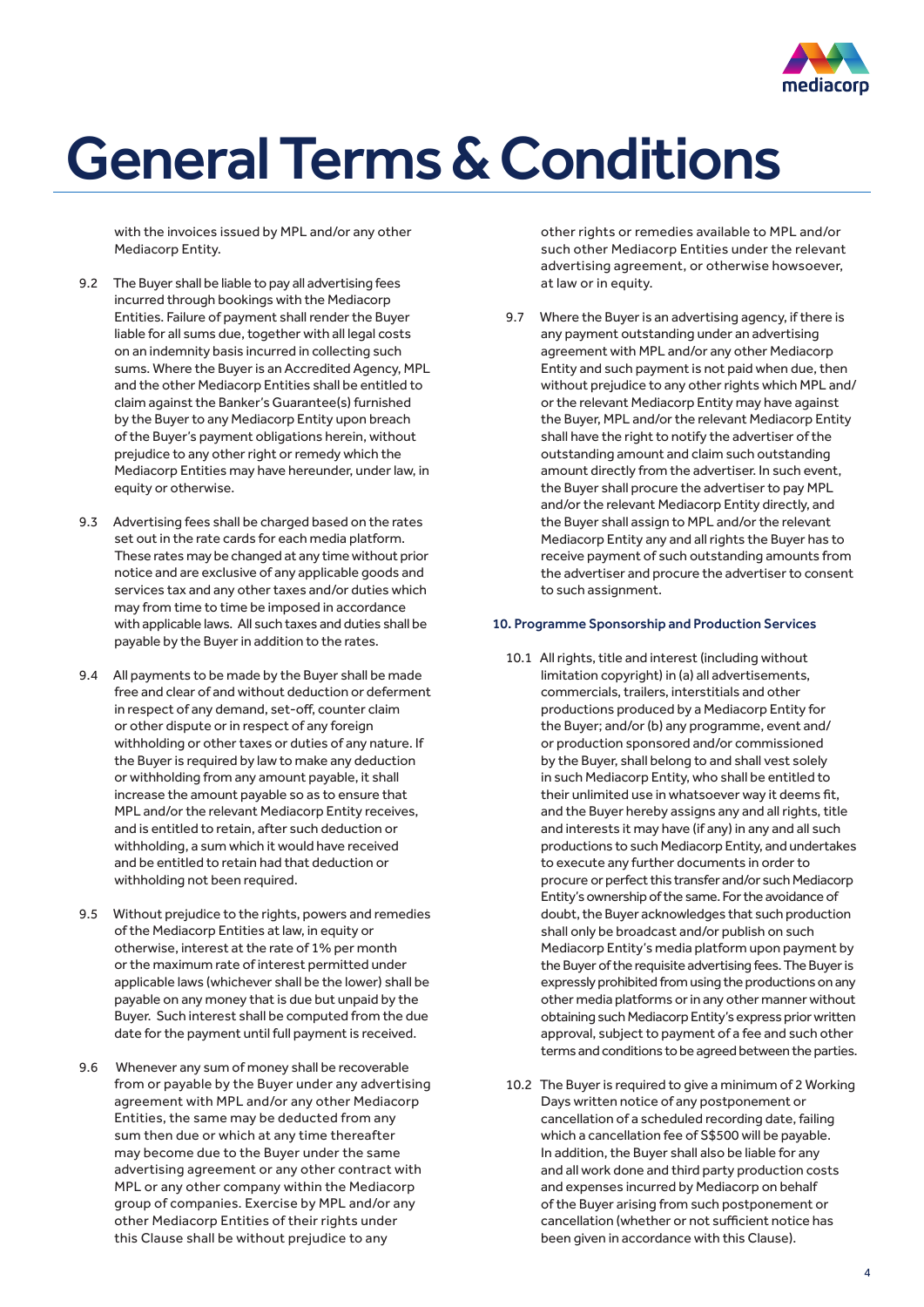

with the invoices issued by MPL and/or any other Mediacorp Entity.

- 9.2 The Buyer shall be liable to pay all advertising fees incurred through bookings with the Mediacorp Entities. Failure of payment shall render the Buyer liable for all sums due, together with all legal costs on an indemnity basis incurred in collecting such sums. Where the Buyer is an Accredited Agency, MPL and the other Mediacorp Entities shall be entitled to claim against the Banker's Guarantee(s) furnished by the Buyer to any Mediacorp Entity upon breach of the Buyer's payment obligations herein, without prejudice to any other right or remedy which the Mediacorp Entities may have hereunder, under law, in equity or otherwise.
- 9.3 Advertising fees shall be charged based on the rates set out in the rate cards for each media platform. These rates may be changed at any time without prior notice and are exclusive of any applicable goods and services tax and any other taxes and/or duties which may from time to time be imposed in accordance with applicable laws. All such taxes and duties shall be payable by the Buyer in addition to the rates.
- 9.4 All payments to be made by the Buyer shall be made free and clear of and without deduction or deferment in respect of any demand, set-off, counter claim or other dispute or in respect of any foreign withholding or other taxes or duties of any nature. If the Buyer is required by law to make any deduction or withholding from any amount payable, it shall increase the amount payable so as to ensure that MPL and/or the relevant Mediacorp Entity receives, and is entitled to retain, after such deduction or withholding, a sum which it would have received and be entitled to retain had that deduction or withholding not been required.
- 9.5 Without prejudice to the rights, powers and remedies of the Mediacorp Entities at law, in equity or otherwise, interest at the rate of 1% per month or the maximum rate of interest permitted under applicable laws (whichever shall be the lower) shall be payable on any money that is due but unpaid by the Buyer. Such interest shall be computed from the due date for the payment until full payment is received.
- 9.6 Whenever any sum of money shall be recoverable from or payable by the Buyer under any advertising agreement with MPL and/or any other Mediacorp Entities, the same may be deducted from any sum then due or which at any time thereafter may become due to the Buyer under the same advertising agreement or any other contract with MPL or any other company within the Mediacorp group of companies. Exercise by MPL and/or any other Mediacorp Entities of their rights under this Clause shall be without prejudice to any

other rights or remedies available to MPL and/or such other Mediacorp Entities under the relevant advertising agreement, or otherwise howsoever, at law or in equity.

9.7 Where the Buyer is an advertising agency, if there is any payment outstanding under an advertising agreement with MPL and/or any other Mediacorp Entity and such payment is not paid when due, then without prejudice to any other rights which MPL and/ or the relevant Mediacorp Entity may have against the Buyer, MPL and/or the relevant Mediacorp Entity shall have the right to notify the advertiser of the outstanding amount and claim such outstanding amount directly from the advertiser. In such event, the Buyer shall procure the advertiser to pay MPL and/or the relevant Mediacorp Entity directly, and the Buyer shall assign to MPL and/or the relevant Mediacorp Entity any and all rights the Buyer has to receive payment of such outstanding amounts from the advertiser and procure the advertiser to consent to such assignment.

### 10. Programme Sponsorship and Production Services

- 10.1 All rights, title and interest (including without limitation copyright) in (a) all advertisements, commercials, trailers, interstitials and other productions produced by a Mediacorp Entity for the Buyer; and/or (b) any programme, event and/ or production sponsored and/or commissioned by the Buyer, shall belong to and shall vest solely in such Mediacorp Entity, who shall be entitled to their unlimited use in whatsoever way it deems fit, and the Buyer hereby assigns any and all rights, title and interests it may have (if any) in any and all such productions to such Mediacorp Entity, and undertakes to execute any further documents in order to procure or perfect this transfer and/or such Mediacorp Entity's ownership of the same. For the avoidance of doubt, the Buyer acknowledges that such production shall only be broadcast and/or publish on such Mediacorp Entity's media platform upon payment by the Buyer of the requisite advertising fees. The Buyer is expressly prohibited from using the productions on any other media platforms or in any other manner without obtaining such Mediacorp Entity's express prior written approval, subject to payment of a fee and such other terms and conditions to be agreed between the parties.
- 10.2 The Buyer is required to give a minimum of 2 Working Days written notice of any postponement or cancellation of a scheduled recording date, failing which a cancellation fee of S\$500 will be payable. In addition, the Buyer shall also be liable for any and all work done and third party production costs and expenses incurred by Mediacorp on behalf of the Buyer arising from such postponement or cancellation (whether or not sufficient notice has been given in accordance with this Clause).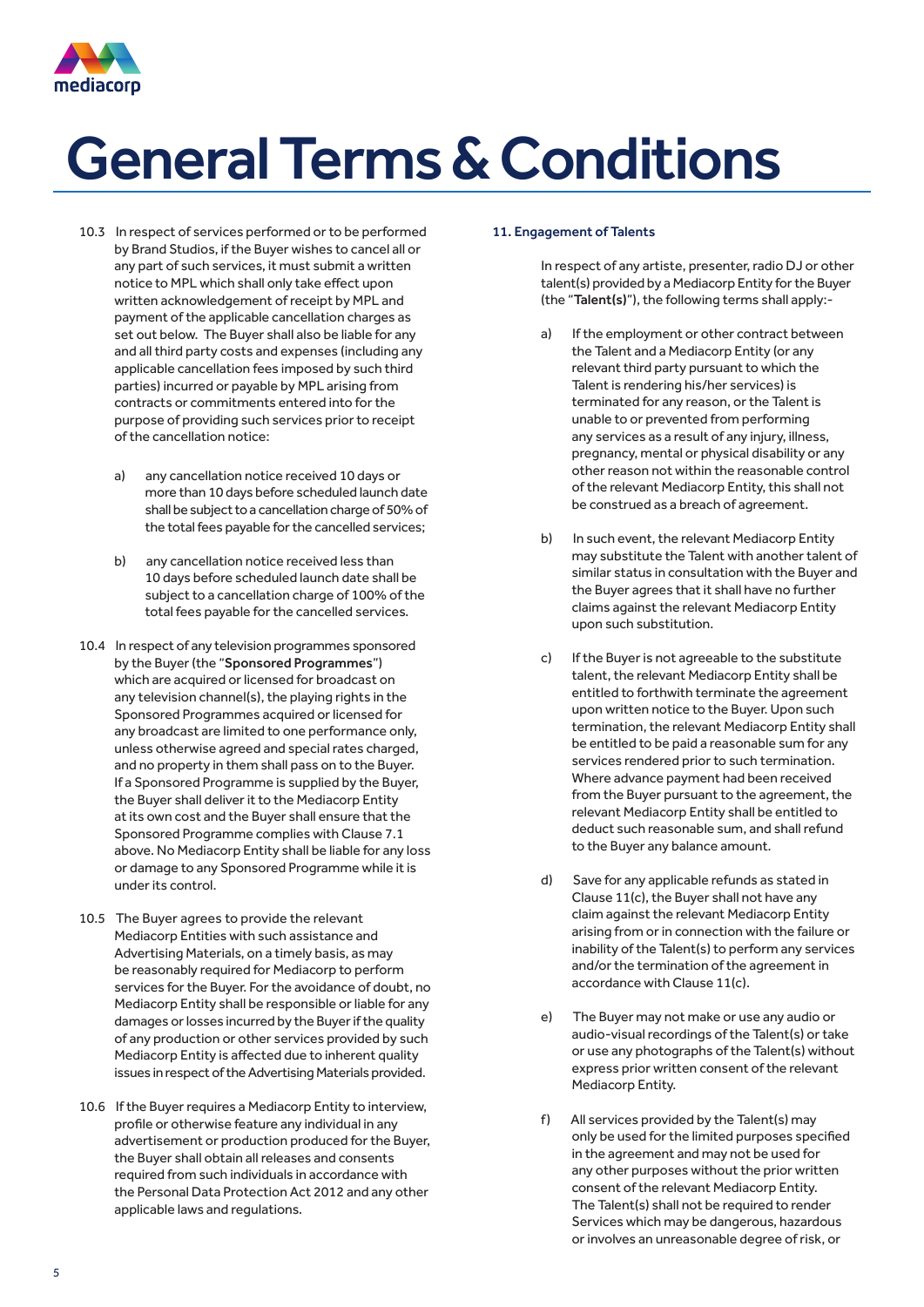

- 10.3 In respect of services performed or to be performed by Brand Studios, if the Buyer wishes to cancel all or any part of such services, it must submit a written notice to MPL which shall only take effect upon written acknowledgement of receipt by MPL and payment of the applicable cancellation charges as set out below. The Buyer shall also be liable for any and all third party costs and expenses (including any applicable cancellation fees imposed by such third parties) incurred or payable by MPL arising from contracts or commitments entered into for the purpose of providing such services prior to receipt of the cancellation notice:
	- a) any cancellation notice received 10 days or more than 10 days before scheduled launch date shall be subject to a cancellation charge of 50% of the total fees payable for the cancelled services;
	- b) any cancellation notice received less than 10 days before scheduled launch date shall be subject to a cancellation charge of 100% of the total fees payable for the cancelled services.
- 10.4 In respect of any television programmes sponsored by the Buyer (the "Sponsored Programmes") which are acquired or licensed for broadcast on any television channel(s), the playing rights in the Sponsored Programmes acquired or licensed for any broadcast are limited to one performance only, unless otherwise agreed and special rates charged, and no property in them shall pass on to the Buyer. If a Sponsored Programme is supplied by the Buyer, the Buyer shall deliver it to the Mediacorp Entity at its own cost and the Buyer shall ensure that the Sponsored Programme complies with Clause 7.1 above. No Mediacorp Entity shall be liable for any loss or damage to any Sponsored Programme while it is under its control.
- 10.5 The Buyer agrees to provide the relevant Mediacorp Entities with such assistance and Advertising Materials, on a timely basis, as may be reasonably required for Mediacorp to perform services for the Buyer. For the avoidance of doubt, no Mediacorp Entity shall be responsible or liable for any damages or losses incurred by the Buyer if the quality of any production or other services provided by such Mediacorp Entity is affected due to inherent quality issues in respect of the Advertising Materials provided.
- 10.6 If the Buyer requires a Mediacorp Entity to interview, profile or otherwise feature any individual in any advertisement or production produced for the Buyer, the Buyer shall obtain all releases and consents required from such individuals in accordance with the Personal Data Protection Act 2012 and any other applicable laws and regulations.

### 11. Engagement of Talents

 In respect of any artiste, presenter, radio DJ or other talent(s) provided by a Mediacorp Entity for the Buyer (the "Talent(s)"), the following terms shall apply:-

- a) If the employment or other contract between the Talent and a Mediacorp Entity (or any relevant third party pursuant to which the Talent is rendering his/her services) is terminated for any reason, or the Talent is unable to or prevented from performing any services as a result of any injury, illness, pregnancy, mental or physical disability or any other reason not within the reasonable control of the relevant Mediacorp Entity, this shall not be construed as a breach of agreement.
- b) In such event, the relevant Mediacorp Entity may substitute the Talent with another talent of similar status in consultation with the Buyer and the Buyer agrees that it shall have no further claims against the relevant Mediacorp Entity upon such substitution.
- c) If the Buyer is not agreeable to the substitute talent, the relevant Mediacorp Entity shall be entitled to forthwith terminate the agreement upon written notice to the Buyer. Upon such termination, the relevant Mediacorp Entity shall be entitled to be paid a reasonable sum for any services rendered prior to such termination. Where advance payment had been received from the Buyer pursuant to the agreement, the relevant Mediacorp Entity shall be entitled to deduct such reasonable sum, and shall refund to the Buyer any balance amount.
- d) Save for any applicable refunds as stated in Clause 11(c), the Buyer shall not have any claim against the relevant Mediacorp Entity arising from or in connection with the failure or inability of the Talent(s) to perform any services and/or the termination of the agreement in accordance with Clause 11(c).
- e) The Buyer may not make or use any audio or audio-visual recordings of the Talent(s) or take or use any photographs of the Talent(s) without express prior written consent of the relevant Mediacorp Entity.
- f) All services provided by the Talent(s) may only be used for the limited purposes specified in the agreement and may not be used for any other purposes without the prior written consent of the relevant Mediacorp Entity. The Talent(s) shall not be required to render Services which may be dangerous, hazardous or involves an unreasonable degree of risk, or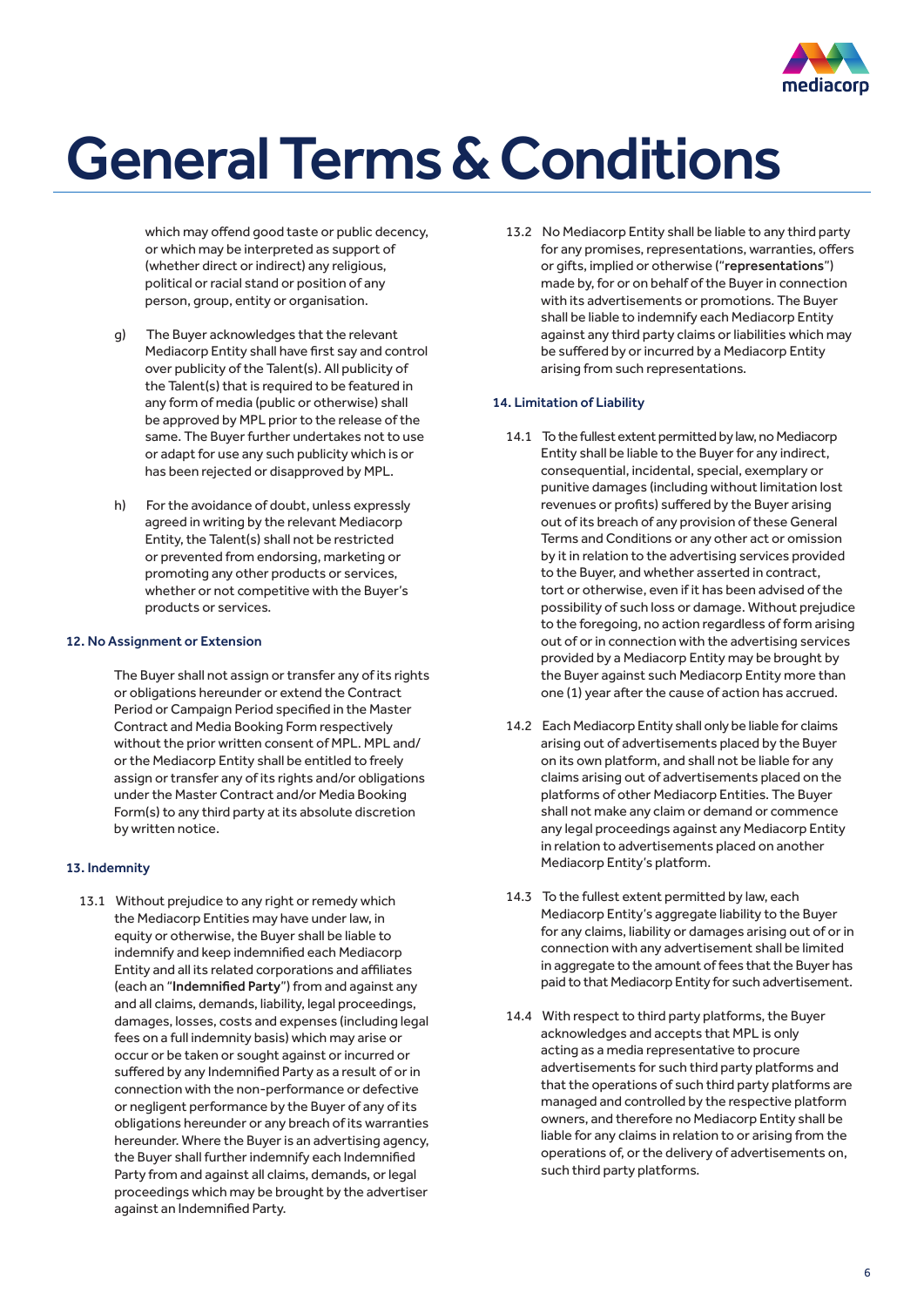

which may offend good taste or public decency. or which may be interpreted as support of (whether direct or indirect) any religious, political or racial stand or position of any person, group, entity or organisation.

- g) The Buyer acknowledges that the relevant Mediacorp Entity shall have first say and control over publicity of the Talent(s). All publicity of the Talent(s) that is required to be featured in any form of media (public or otherwise) shall be approved by MPL prior to the release of the same. The Buyer further undertakes not to use or adapt for use any such publicity which is or has been rejected or disapproved by MPL.
- h) For the avoidance of doubt, unless expressly agreed in writing by the relevant Mediacorp Entity, the Talent(s) shall not be restricted or prevented from endorsing, marketing or promoting any other products or services, whether or not competitive with the Buyer's products or services.

#### 12. No Assignment or Extension

The Buyer shall not assign or transfer any of its rights or obligations hereunder or extend the Contract Period or Campaign Period specified in the Master Contract and Media Booking Form respectively without the prior written consent of MPL. MPL and/ or the Mediacorp Entity shall be entitled to freely assign or transfer any of its rights and/or obligations under the Master Contract and/or Media Booking Form(s) to any third party at its absolute discretion by written notice.

### 13. Indemnity

13.1 Without prejudice to any right or remedy which the Mediacorp Entities may have under law, in equity or otherwise, the Buyer shall be liable to indemnify and keep indemnified each Mediacorp Entity and all its related corporations and affiliates (each an "Indemnified Party") from and against any and all claims, demands, liability, legal proceedings, damages, losses, costs and expenses (including legal fees on a full indemnity basis) which may arise or occur or be taken or sought against or incurred or suffered by any Indemnified Party as a result of or in connection with the non-performance or defective or negligent performance by the Buyer of any of its obligations hereunder or any breach of its warranties hereunder. Where the Buyer is an advertising agency, the Buyer shall further indemnify each Indemnified Party from and against all claims, demands, or legal proceedings which may be brought by the advertiser against an Indemnified Party.

13.2 No Mediacorp Entity shall be liable to any third party for any promises, representations, warranties, offers or gifts, implied or otherwise ("representations") made by, for or on behalf of the Buyer in connection with its advertisements or promotions. The Buyer shall be liable to indemnify each Mediacorp Entity against any third party claims or liabilities which may be suffered by or incurred by a Mediacorp Entity arising from such representations.

### 14. Limitation of Liability

- 14.1 To the fullest extent permitted by law, no Mediacorp Entity shall be liable to the Buyer for any indirect, consequential, incidental, special, exemplary or punitive damages (including without limitation lost revenues or profits) suffered by the Buyer arising out of its breach of any provision of these General Terms and Conditions or any other act or omission by it in relation to the advertising services provided to the Buyer, and whether asserted in contract, tort or otherwise, even if it has been advised of the possibility of such loss or damage. Without prejudice to the foregoing, no action regardless of form arising out of or in connection with the advertising services provided by a Mediacorp Entity may be brought by the Buyer against such Mediacorp Entity more than one (1) year after the cause of action has accrued.
- 14.2 Each Mediacorp Entity shall only be liable for claims arising out of advertisements placed by the Buyer on its own platform, and shall not be liable for any claims arising out of advertisements placed on the platforms of other Mediacorp Entities. The Buyer shall not make any claim or demand or commence any legal proceedings against any Mediacorp Entity in relation to advertisements placed on another Mediacorp Entity's platform.
- 14.3 To the fullest extent permitted by law, each Mediacorp Entity's aggregate liability to the Buyer for any claims, liability or damages arising out of or in connection with any advertisement shall be limited in aggregate to the amount of fees that the Buyer has paid to that Mediacorp Entity for such advertisement.
- 14.4 With respect to third party platforms, the Buyer acknowledges and accepts that MPL is only acting as a media representative to procure advertisements for such third party platforms and that the operations of such third party platforms are managed and controlled by the respective platform owners, and therefore no Mediacorp Entity shall be liable for any claims in relation to or arising from the operations of, or the delivery of advertisements on, such third party platforms.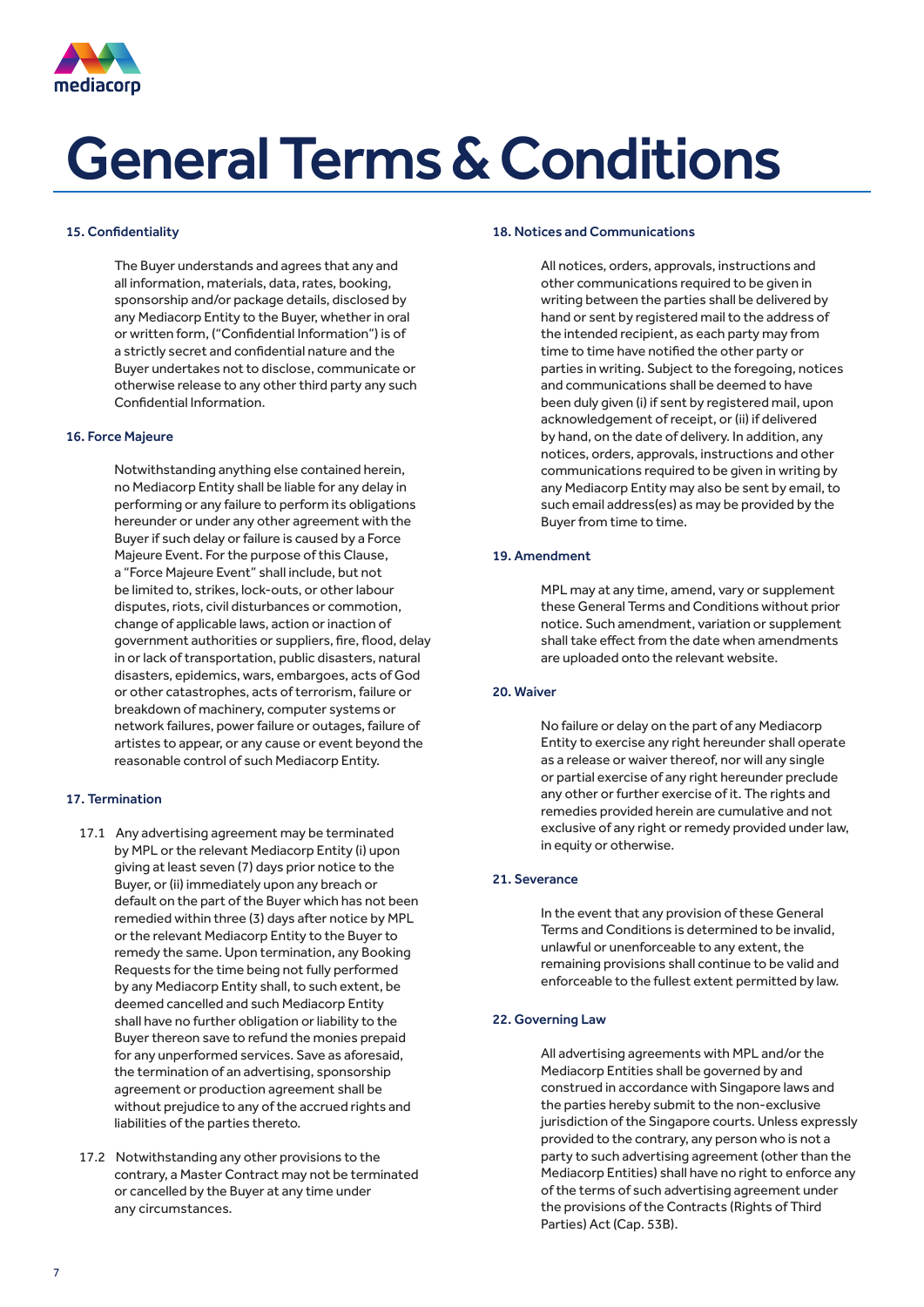

### 15. Confidentiality

The Buyer understands and agrees that any and all information, materials, data, rates, booking, sponsorship and/or package details, disclosed by any Mediacorp Entity to the Buyer, whether in oral or written form, ("Confidential Information") is of a strictly secret and confidential nature and the Buyer undertakes not to disclose, communicate or otherwise release to any other third party any such Confidential Information.

### 16. Force Majeure

Notwithstanding anything else contained herein, no Mediacorp Entity shall be liable for any delay in performing or any failure to perform its obligations hereunder or under any other agreement with the Buyer if such delay or failure is caused by a Force Majeure Event. For the purpose of this Clause, a "Force Majeure Event" shall include, but not be limited to, strikes, lock-outs, or other labour disputes, riots, civil disturbances or commotion, change of applicable laws, action or inaction of government authorities or suppliers, fire, flood, delay in or lack of transportation, public disasters, natural disasters, epidemics, wars, embargoes, acts of God or other catastrophes, acts of terrorism, failure or breakdown of machinery, computer systems or network failures, power failure or outages, failure of artistes to appear, or any cause or event beyond the reasonable control of such Mediacorp Entity.

### 17. Termination

- 17.1 Any advertising agreement may be terminated by MPL or the relevant Mediacorp Entity (i) upon giving at least seven (7) days prior notice to the Buyer, or (ii) immediately upon any breach or default on the part of the Buyer which has not been remedied within three (3) days after notice by MPL or the relevant Mediacorp Entity to the Buyer to remedy the same. Upon termination, any Booking Requests for the time being not fully performed by any Mediacorp Entity shall, to such extent, be deemed cancelled and such Mediacorp Entity shall have no further obligation or liability to the Buyer thereon save to refund the monies prepaid for any unperformed services. Save as aforesaid, the termination of an advertising, sponsorship agreement or production agreement shall be without prejudice to any of the accrued rights and liabilities of the parties thereto.
- 17.2 Notwithstanding any other provisions to the contrary, a Master Contract may not be terminated or cancelled by the Buyer at any time under any circumstances.

#### 18. Notices and Communications

All notices, orders, approvals, instructions and other communications required to be given in writing between the parties shall be delivered by hand or sent by registered mail to the address of the intended recipient, as each party may from time to time have notified the other party or parties in writing. Subject to the foregoing, notices and communications shall be deemed to have been duly given (i) if sent by registered mail, upon acknowledgement of receipt, or (ii) if delivered by hand, on the date of delivery. In addition, any notices, orders, approvals, instructions and other communications required to be given in writing by any Mediacorp Entity may also be sent by email, to such email address(es) as may be provided by the Buyer from time to time.

### 19. Amendment

MPL may at any time, amend, vary or supplement these General Terms and Conditions without prior notice. Such amendment, variation or supplement shall take effect from the date when amendments are uploaded onto the relevant website.

### 20. Waiver

No failure or delay on the part of any Mediacorp Entity to exercise any right hereunder shall operate as a release or waiver thereof, nor will any single or partial exercise of any right hereunder preclude any other or further exercise of it. The rights and remedies provided herein are cumulative and not exclusive of any right or remedy provided under law, in equity or otherwise.

### 21. Severance

In the event that any provision of these General Terms and Conditions is determined to be invalid, unlawful or unenforceable to any extent, the remaining provisions shall continue to be valid and enforceable to the fullest extent permitted by law.

### 22. Governing Law

All advertising agreements with MPL and/or the Mediacorp Entities shall be governed by and construed in accordance with Singapore laws and the parties hereby submit to the non-exclusive jurisdiction of the Singapore courts. Unless expressly provided to the contrary, any person who is not a party to such advertising agreement (other than the Mediacorp Entities) shall have no right to enforce any of the terms of such advertising agreement under the provisions of the Contracts (Rights of Third Parties) Act (Cap. 53B).